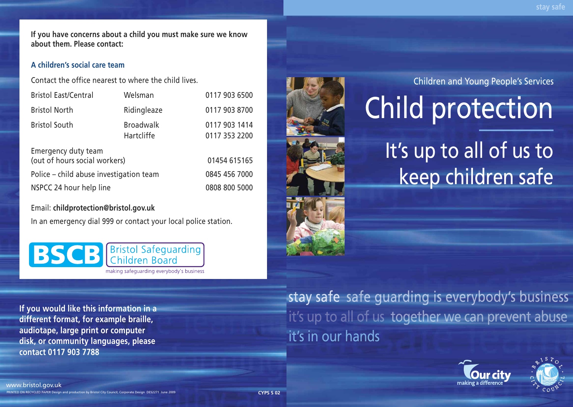**stay safe**

**If you have concerns about a child you must make sure we know about them. Please contact:**

## **A children's social care team**

Contact the office nearest to where the child lives.

| <b>Bristol East/Central</b>                          | Welsman                        | 0117 903 6500                  |
|------------------------------------------------------|--------------------------------|--------------------------------|
| <b>Bristol North</b>                                 | Ridingleaze                    | 0117 903 8700                  |
| <b>Bristol South</b>                                 | <b>Broadwalk</b><br>Hartcliffe | 0117 903 1414<br>0117 353 2200 |
| Emergency duty team<br>(out of hours social workers) |                                | 01454 615165                   |
| Police – child abuse investigation team              |                                | 0845 456 7000                  |
| NSPCC 24 hour help line                              |                                | 0808 800 5000                  |

Email: **childprotection@bristol.gov.uk**

In an emergency dial 999 or contact your local police station.

**Bristol Safeguarding BSCB** hildren Board making safeguarding everybody's business

**If you would like this information in a different format, for example braille, audiotape, large print or computer disk, or community languages, please contact 0117 903 7788**



Children and Young People's Services

# Child protection

It's up to all of us to keep children safe

stay safe safe guarding is everybody's business it's up to all of us together we can prevent abuse it's in our hands





PRINTED ON RECYCLED PAPER Design and production by Bristol City Council, Corporate Design DES2271 June 2009 www.bristol.gov.uk